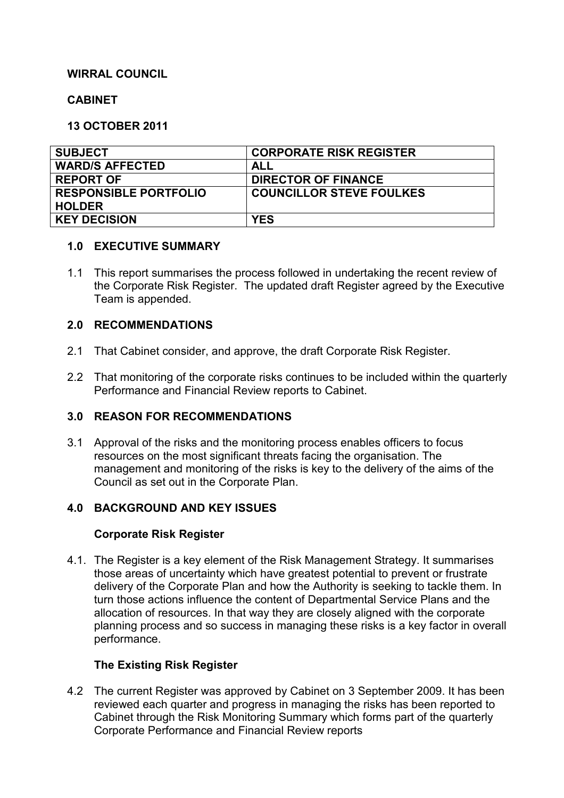# **WIRRAL COUNCIL**

#### **CABINET**

#### **13 OCTOBER 2011**

| <b>SUBJECT</b>               | <b>CORPORATE RISK REGISTER</b>  |
|------------------------------|---------------------------------|
| <b>WARD/S AFFECTED</b>       | ALL                             |
| <b>REPORT OF</b>             | <b>DIRECTOR OF FINANCE</b>      |
| <b>RESPONSIBLE PORTFOLIO</b> | <b>COUNCILLOR STEVE FOULKES</b> |
| <b>HOLDER</b>                |                                 |
| <b>KEY DECISION</b>          | <b>YES</b>                      |

#### **1.0 EXECUTIVE SUMMARY**

1.1 This report summarises the process followed in undertaking the recent review of the Corporate Risk Register. The updated draft Register agreed by the Executive Team is appended.

# **2.0 RECOMMENDATIONS**

- 2.1 That Cabinet consider, and approve, the draft Corporate Risk Register.
- 2.2 That monitoring of the corporate risks continues to be included within the quarterly Performance and Financial Review reports to Cabinet.

# **3.0 REASON FOR RECOMMENDATIONS**

3.1 Approval of the risks and the monitoring process enables officers to focus resources on the most significant threats facing the organisation. The management and monitoring of the risks is key to the delivery of the aims of the Council as set out in the Corporate Plan.

# **4.0 BACKGROUND AND KEY ISSUES**

#### **Corporate Risk Register**

4.1. The Register is a key element of the Risk Management Strategy. It summarises those areas of uncertainty which have greatest potential to prevent or frustrate delivery of the Corporate Plan and how the Authority is seeking to tackle them. In turn those actions influence the content of Departmental Service Plans and the allocation of resources. In that way they are closely aligned with the corporate planning process and so success in managing these risks is a key factor in overall performance.

# **The Existing Risk Register**

4.2 The current Register was approved by Cabinet on 3 September 2009. It has been reviewed each quarter and progress in managing the risks has been reported to Cabinet through the Risk Monitoring Summary which forms part of the quarterly Corporate Performance and Financial Review reports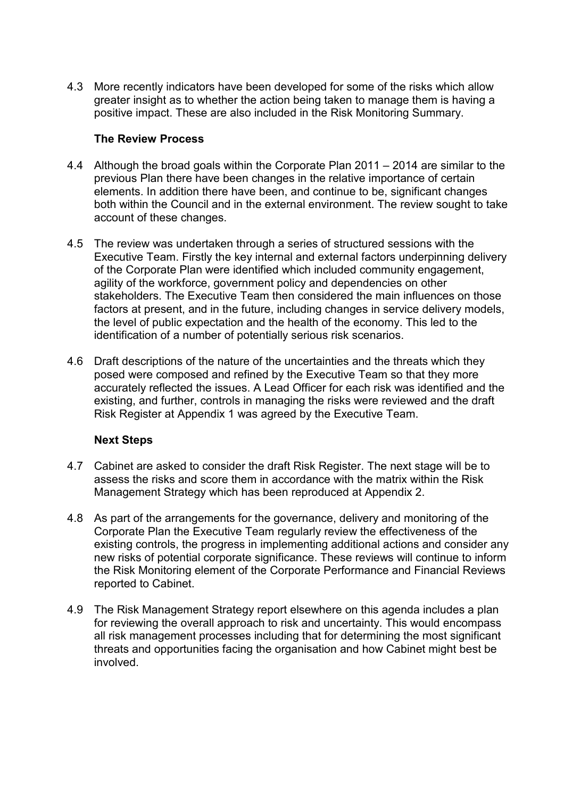4.3 More recently indicators have been developed for some of the risks which allow greater insight as to whether the action being taken to manage them is having a positive impact. These are also included in the Risk Monitoring Summary.

## **The Review Process**

- 4.4 Although the broad goals within the Corporate Plan 2011 2014 are similar to the previous Plan there have been changes in the relative importance of certain elements. In addition there have been, and continue to be, significant changes both within the Council and in the external environment. The review sought to take account of these changes.
- 4.5 The review was undertaken through a series of structured sessions with the Executive Team. Firstly the key internal and external factors underpinning delivery of the Corporate Plan were identified which included community engagement, agility of the workforce, government policy and dependencies on other stakeholders. The Executive Team then considered the main influences on those factors at present, and in the future, including changes in service delivery models, the level of public expectation and the health of the economy. This led to the identification of a number of potentially serious risk scenarios.
- 4.6 Draft descriptions of the nature of the uncertainties and the threats which they posed were composed and refined by the Executive Team so that they more accurately reflected the issues. A Lead Officer for each risk was identified and the existing, and further, controls in managing the risks were reviewed and the draft Risk Register at Appendix 1 was agreed by the Executive Team.

# **Next Steps**

- 4.7 Cabinet are asked to consider the draft Risk Register. The next stage will be to assess the risks and score them in accordance with the matrix within the Risk Management Strategy which has been reproduced at Appendix 2.
- 4.8 As part of the arrangements for the governance, delivery and monitoring of the Corporate Plan the Executive Team regularly review the effectiveness of the existing controls, the progress in implementing additional actions and consider any new risks of potential corporate significance. These reviews will continue to inform the Risk Monitoring element of the Corporate Performance and Financial Reviews reported to Cabinet.
- 4.9 The Risk Management Strategy report elsewhere on this agenda includes a plan for reviewing the overall approach to risk and uncertainty. This would encompass all risk management processes including that for determining the most significant threats and opportunities facing the organisation and how Cabinet might best be involved.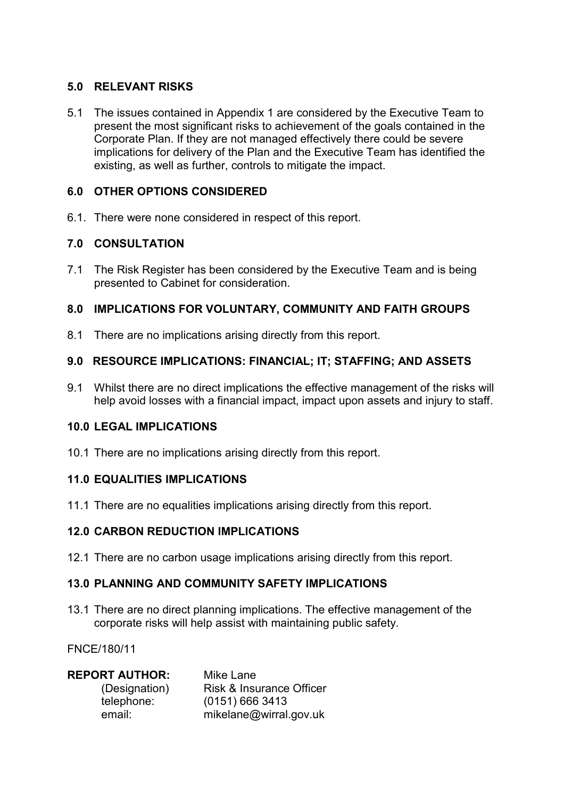## **5.0 RELEVANT RISKS**

5.1 The issues contained in Appendix 1 are considered by the Executive Team to present the most significant risks to achievement of the goals contained in the Corporate Plan. If they are not managed effectively there could be severe implications for delivery of the Plan and the Executive Team has identified the existing, as well as further, controls to mitigate the impact.

## **6.0 OTHER OPTIONS CONSIDERED**

6.1. There were none considered in respect of this report.

## **7.0 CONSULTATION**

7.1 The Risk Register has been considered by the Executive Team and is being presented to Cabinet for consideration.

## **8.0 IMPLICATIONS FOR VOLUNTARY, COMMUNITY AND FAITH GROUPS**

8.1 There are no implications arising directly from this report.

## **9.0 RESOURCE IMPLICATIONS: FINANCIAL; IT; STAFFING; AND ASSETS**

9.1 Whilst there are no direct implications the effective management of the risks will help avoid losses with a financial impact, impact upon assets and injury to staff.

#### **10.0 LEGAL IMPLICATIONS**

10.1 There are no implications arising directly from this report.

#### **11.0 EQUALITIES IMPLICATIONS**

11.1 There are no equalities implications arising directly from this report.

#### **12.0 CARBON REDUCTION IMPLICATIONS**

12.1 There are no carbon usage implications arising directly from this report.

#### **13.0 PLANNING AND COMMUNITY SAFETY IMPLICATIONS**

13.1 There are no direct planning implications. The effective management of the corporate risks will help assist with maintaining public safety.

FNCE/180/11

**REPORT AUTHOR:** Mike Lane

 (Designation) Risk & Insurance Officer telephone: (0151) 666 3413 email: mikelane@wirral.gov.uk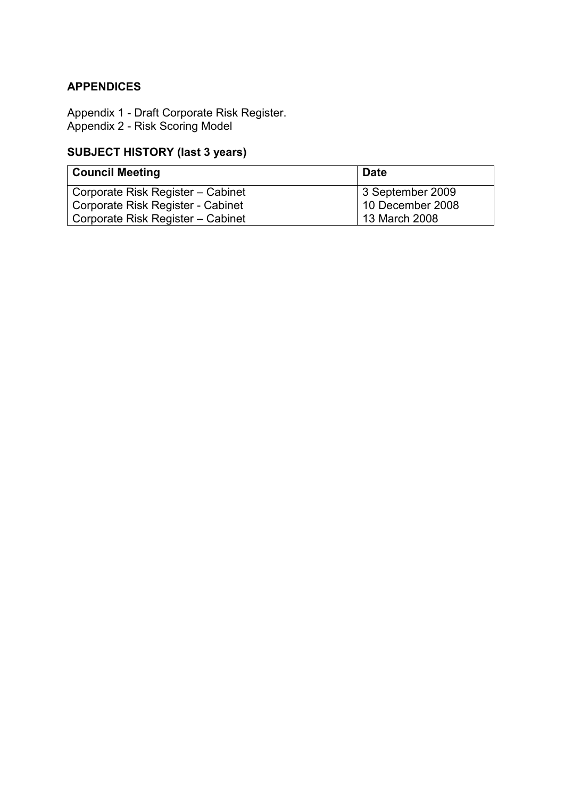# **APPENDICES**

Appendix 1 - Draft Corporate Risk Register. Appendix 2 - Risk Scoring Model

# **SUBJECT HISTORY (last 3 years)**

| <b>Council Meeting</b>            | <b>Date</b>      |  |
|-----------------------------------|------------------|--|
| Corporate Risk Register - Cabinet | 3 September 2009 |  |
| Corporate Risk Register - Cabinet | 10 December 2008 |  |
| Corporate Risk Register - Cabinet | 13 March 2008    |  |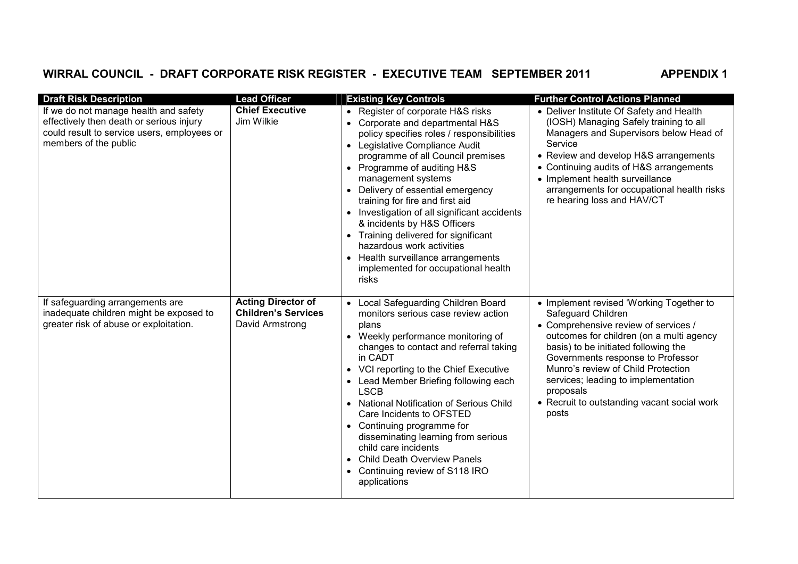# WIRRAL COUNCIL - DRAFT CORPORATE RISK REGISTER - EXECUTIVE TEAM SEPTEMBER 2011 **APPENDIX 1**

| <b>Draft Risk Description</b>                                                                                                                             | <b>Lead Officer</b>                                                        | <b>Existing Key Controls</b>                                                                                                                                                                                                                                                                                                                                                                                                                                                                                                                                   | <b>Further Control Actions Planned</b>                                                                                                                                                                                                                                                                                                                                            |
|-----------------------------------------------------------------------------------------------------------------------------------------------------------|----------------------------------------------------------------------------|----------------------------------------------------------------------------------------------------------------------------------------------------------------------------------------------------------------------------------------------------------------------------------------------------------------------------------------------------------------------------------------------------------------------------------------------------------------------------------------------------------------------------------------------------------------|-----------------------------------------------------------------------------------------------------------------------------------------------------------------------------------------------------------------------------------------------------------------------------------------------------------------------------------------------------------------------------------|
| If we do not manage health and safety<br>effectively then death or serious injury<br>could result to service users, employees or<br>members of the public | <b>Chief Executive</b><br>Jim Wilkie                                       | • Register of corporate H&S risks<br>• Corporate and departmental H&S<br>policy specifies roles / responsibilities<br>• Legislative Compliance Audit<br>programme of all Council premises<br>• Programme of auditing H&S<br>management systems<br>Delivery of essential emergency<br>training for fire and first aid<br>• Investigation of all significant accidents<br>& incidents by H&S Officers<br>• Training delivered for significant<br>hazardous work activities<br>• Health surveillance arrangements<br>implemented for occupational health<br>risks | • Deliver Institute Of Safety and Health<br>(IOSH) Managing Safely training to all<br>Managers and Supervisors below Head of<br>Service<br>• Review and develop H&S arrangements<br>• Continuing audits of H&S arrangements<br>• Implement health surveillance<br>arrangements for occupational health risks<br>re hearing loss and HAV/CT                                        |
| If safeguarding arrangements are<br>inadequate children might be exposed to<br>greater risk of abuse or exploitation.                                     | <b>Acting Director of</b><br><b>Children's Services</b><br>David Armstrong | Local Safeguarding Children Board<br>monitors serious case review action<br>plans<br>• Weekly performance monitoring of<br>changes to contact and referral taking<br>in CADT<br>• VCI reporting to the Chief Executive<br>• Lead Member Briefing following each<br><b>LSCB</b><br><b>National Notification of Serious Child</b><br>Care Incidents to OFSTED<br>• Continuing programme for<br>disseminating learning from serious<br>child care incidents<br><b>Child Death Overview Panels</b><br>Continuing review of S118 IRO<br>$\bullet$<br>applications   | • Implement revised 'Working Together to<br>Safeguard Children<br>• Comprehensive review of services /<br>outcomes for children (on a multi agency<br>basis) to be initiated following the<br>Governments response to Professor<br>Munro's review of Child Protection<br>services; leading to implementation<br>proposals<br>• Recruit to outstanding vacant social work<br>posts |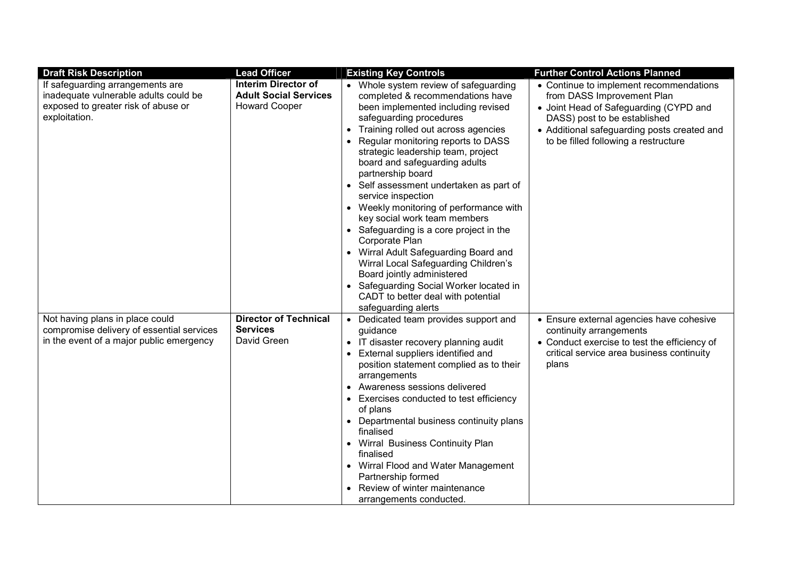| <b>Draft Risk Description</b>                                                                                                     | <b>Lead Officer</b>                                                                | <b>Existing Key Controls</b>                                                                                                                                                                                                                                                                                                                                                                                                                                                                                                                                                                                                                                                                                                                          | <b>Further Control Actions Planned</b>                                                                                                                                                                                                 |
|-----------------------------------------------------------------------------------------------------------------------------------|------------------------------------------------------------------------------------|-------------------------------------------------------------------------------------------------------------------------------------------------------------------------------------------------------------------------------------------------------------------------------------------------------------------------------------------------------------------------------------------------------------------------------------------------------------------------------------------------------------------------------------------------------------------------------------------------------------------------------------------------------------------------------------------------------------------------------------------------------|----------------------------------------------------------------------------------------------------------------------------------------------------------------------------------------------------------------------------------------|
| If safeguarding arrangements are<br>inadequate vulnerable adults could be<br>exposed to greater risk of abuse or<br>exploitation. | <b>Interim Director of</b><br><b>Adult Social Services</b><br><b>Howard Cooper</b> | • Whole system review of safeguarding<br>completed & recommendations have<br>been implemented including revised<br>safeguarding procedures<br>• Training rolled out across agencies<br>Regular monitoring reports to DASS<br>strategic leadership team, project<br>board and safeguarding adults<br>partnership board<br>• Self assessment undertaken as part of<br>service inspection<br>• Weekly monitoring of performance with<br>key social work team members<br>• Safeguarding is a core project in the<br>Corporate Plan<br>• Wirral Adult Safeguarding Board and<br>Wirral Local Safeguarding Children's<br>Board jointly administered<br>• Safeguarding Social Worker located in<br>CADT to better deal with potential<br>safeguarding alerts | • Continue to implement recommendations<br>from DASS Improvement Plan<br>• Joint Head of Safeguarding (CYPD and<br>DASS) post to be established<br>• Additional safeguarding posts created and<br>to be filled following a restructure |
| Not having plans in place could<br>compromise delivery of essential services<br>in the event of a major public emergency          | <b>Director of Technical</b><br><b>Services</b><br>David Green                     | • Dedicated team provides support and<br>guidance<br>IT disaster recovery planning audit<br>External suppliers identified and<br>position statement complied as to their<br>arrangements<br>• Awareness sessions delivered<br>Exercises conducted to test efficiency<br>$\bullet$<br>of plans<br>• Departmental business continuity plans<br>finalised<br>• Wirral Business Continuity Plan<br>finalised<br>• Wirral Flood and Water Management<br>Partnership formed<br>Review of winter maintenance<br>arrangements conducted.                                                                                                                                                                                                                      | • Ensure external agencies have cohesive<br>continuity arrangements<br>• Conduct exercise to test the efficiency of<br>critical service area business continuity<br>plans                                                              |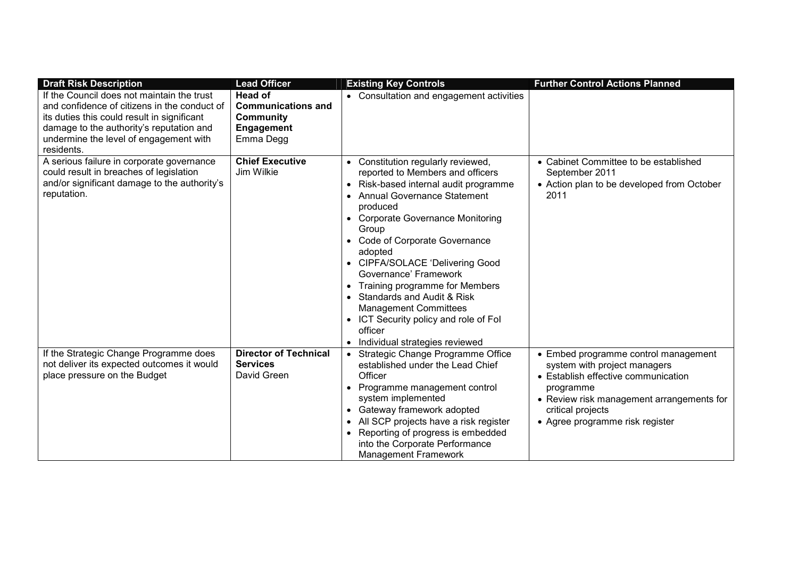| <b>Draft Risk Description</b>                                                                                                                                                                                                                 | <b>Lead Officer</b>                                                                               | <b>Existing Key Controls</b>                                                                                                                                                                                                                                                                                                                                                                                                                                                                                                                                                              | <b>Further Control Actions Planned</b>                                                                                                                                                                                        |
|-----------------------------------------------------------------------------------------------------------------------------------------------------------------------------------------------------------------------------------------------|---------------------------------------------------------------------------------------------------|-------------------------------------------------------------------------------------------------------------------------------------------------------------------------------------------------------------------------------------------------------------------------------------------------------------------------------------------------------------------------------------------------------------------------------------------------------------------------------------------------------------------------------------------------------------------------------------------|-------------------------------------------------------------------------------------------------------------------------------------------------------------------------------------------------------------------------------|
| If the Council does not maintain the trust<br>and confidence of citizens in the conduct of<br>its duties this could result in significant<br>damage to the authority's reputation and<br>undermine the level of engagement with<br>residents. | <b>Head of</b><br><b>Communications and</b><br><b>Community</b><br><b>Engagement</b><br>Emma Degg | • Consultation and engagement activities                                                                                                                                                                                                                                                                                                                                                                                                                                                                                                                                                  |                                                                                                                                                                                                                               |
| A serious failure in corporate governance<br>could result in breaches of legislation<br>and/or significant damage to the authority's<br>reputation.                                                                                           | <b>Chief Executive</b><br>Jim Wilkie                                                              | Constitution regularly reviewed,<br>$\bullet$<br>reported to Members and officers<br>Risk-based internal audit programme<br>$\bullet$<br><b>Annual Governance Statement</b><br>produced<br><b>Corporate Governance Monitoring</b><br>$\bullet$<br>Group<br>Code of Corporate Governance<br>adopted<br>• CIPFA/SOLACE 'Delivering Good<br>Governance' Framework<br>Training programme for Members<br>$\bullet$<br>Standards and Audit & Risk<br><b>Management Committees</b><br>ICT Security policy and role of Fol<br>$\bullet$<br>officer<br>Individual strategies reviewed<br>$\bullet$ | • Cabinet Committee to be established<br>September 2011<br>• Action plan to be developed from October<br>2011                                                                                                                 |
| If the Strategic Change Programme does<br>not deliver its expected outcomes it would<br>place pressure on the Budget                                                                                                                          | <b>Director of Technical</b><br><b>Services</b><br>David Green                                    | Strategic Change Programme Office<br>established under the Lead Chief<br>Officer<br>Programme management control<br>system implemented<br>Gateway framework adopted<br>All SCP projects have a risk register<br>Reporting of progress is embedded<br>$\bullet$<br>into the Corporate Performance<br><b>Management Framework</b>                                                                                                                                                                                                                                                           | • Embed programme control management<br>system with project managers<br>• Establish effective communication<br>programme<br>• Review risk management arrangements for<br>critical projects<br>• Agree programme risk register |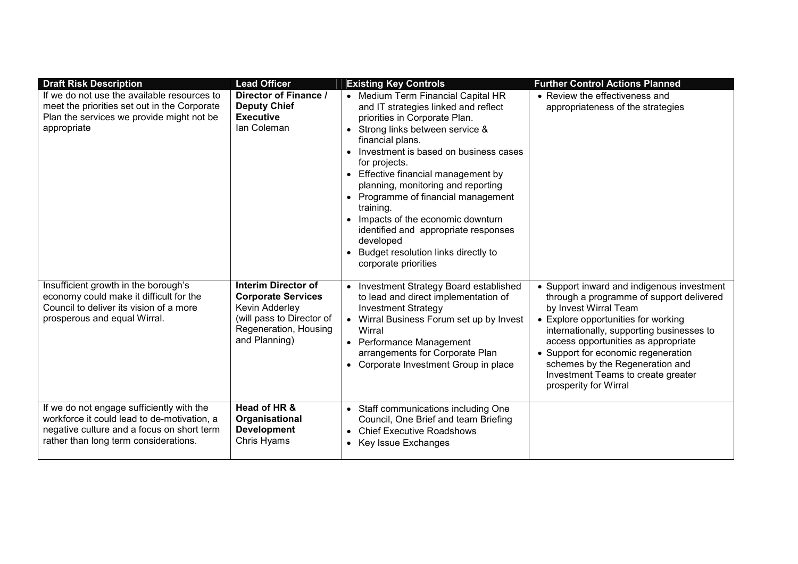| <b>Draft Risk Description</b>                                                                                                                                                   | <b>Lead Officer</b>                                                                                                                              | <b>Existing Key Controls</b>                                                                                                                                                                                                                                                                                                                                                                                                                                                                                                      | <b>Further Control Actions Planned</b>                                                                                                                                                                                                                                                                                                                                              |
|---------------------------------------------------------------------------------------------------------------------------------------------------------------------------------|--------------------------------------------------------------------------------------------------------------------------------------------------|-----------------------------------------------------------------------------------------------------------------------------------------------------------------------------------------------------------------------------------------------------------------------------------------------------------------------------------------------------------------------------------------------------------------------------------------------------------------------------------------------------------------------------------|-------------------------------------------------------------------------------------------------------------------------------------------------------------------------------------------------------------------------------------------------------------------------------------------------------------------------------------------------------------------------------------|
| If we do not use the available resources to<br>meet the priorities set out in the Corporate<br>Plan the services we provide might not be<br>appropriate                         | Director of Finance /<br><b>Deputy Chief</b><br><b>Executive</b><br>lan Coleman                                                                  | • Medium Term Financial Capital HR<br>and IT strategies linked and reflect<br>priorities in Corporate Plan.<br>Strong links between service &<br>$\bullet$<br>financial plans.<br>Investment is based on business cases<br>for projects.<br>• Effective financial management by<br>planning, monitoring and reporting<br>• Programme of financial management<br>training.<br>Impacts of the economic downturn<br>identified and appropriate responses<br>developed<br>Budget resolution links directly to<br>corporate priorities | • Review the effectiveness and<br>appropriateness of the strategies                                                                                                                                                                                                                                                                                                                 |
| Insufficient growth in the borough's<br>economy could make it difficult for the<br>Council to deliver its vision of a more<br>prosperous and equal Wirral.                      | <b>Interim Director of</b><br><b>Corporate Services</b><br>Kevin Adderley<br>(will pass to Director of<br>Regeneration, Housing<br>and Planning) | • Investment Strategy Board established<br>to lead and direct implementation of<br><b>Investment Strategy</b><br>Wirral Business Forum set up by Invest<br>Wirral<br>• Performance Management<br>arrangements for Corporate Plan<br>• Corporate Investment Group in place                                                                                                                                                                                                                                                         | • Support inward and indigenous investment<br>through a programme of support delivered<br>by Invest Wirral Team<br>• Explore opportunities for working<br>internationally, supporting businesses to<br>access opportunities as appropriate<br>• Support for economic regeneration<br>schemes by the Regeneration and<br>Investment Teams to create greater<br>prosperity for Wirral |
| If we do not engage sufficiently with the<br>workforce it could lead to de-motivation, a<br>negative culture and a focus on short term<br>rather than long term considerations. | Head of HR &<br>Organisational<br><b>Development</b><br>Chris Hyams                                                                              | • Staff communications including One<br>Council, One Brief and team Briefing<br><b>Chief Executive Roadshows</b><br>$\bullet$<br>Key Issue Exchanges                                                                                                                                                                                                                                                                                                                                                                              |                                                                                                                                                                                                                                                                                                                                                                                     |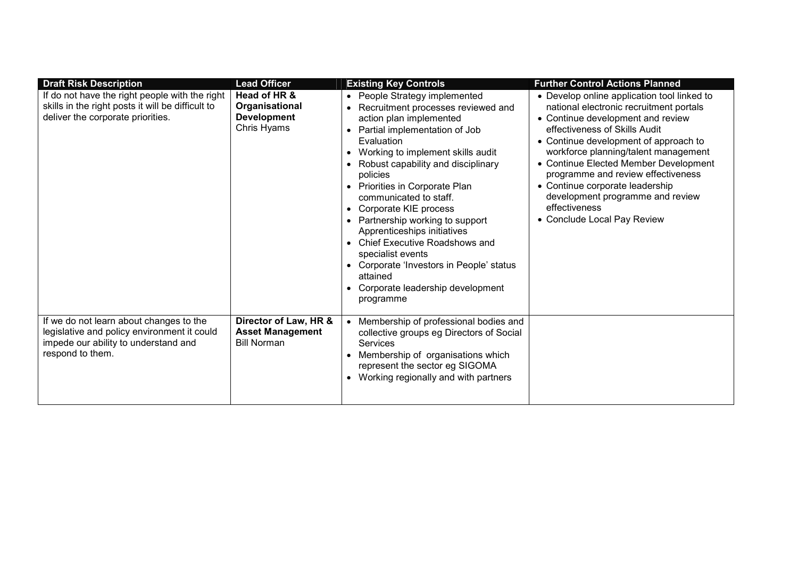| <b>Draft Risk Description</b>                                                                                                                      | <b>Lead Officer</b>                                                    | <b>Existing Key Controls</b>                                                                                                                                                                                                                                                                                                                                                                                                                                                                                                                                         | <b>Further Control Actions Planned</b>                                                                                                                                                                                                                                                                                                                                                                                                              |
|----------------------------------------------------------------------------------------------------------------------------------------------------|------------------------------------------------------------------------|----------------------------------------------------------------------------------------------------------------------------------------------------------------------------------------------------------------------------------------------------------------------------------------------------------------------------------------------------------------------------------------------------------------------------------------------------------------------------------------------------------------------------------------------------------------------|-----------------------------------------------------------------------------------------------------------------------------------------------------------------------------------------------------------------------------------------------------------------------------------------------------------------------------------------------------------------------------------------------------------------------------------------------------|
| If do not have the right people with the right<br>skills in the right posts it will be difficult to<br>deliver the corporate priorities.           | Head of HR &<br>Organisational<br><b>Development</b><br>Chris Hyams    | • People Strategy implemented<br>Recruitment processes reviewed and<br>action plan implemented<br>Partial implementation of Job<br>Evaluation<br>Working to implement skills audit<br>Robust capability and disciplinary<br>policies<br>Priorities in Corporate Plan<br>communicated to staff.<br>Corporate KIE process<br>$\bullet$<br>Partnership working to support<br>Apprenticeships initiatives<br>Chief Executive Roadshows and<br>specialist events<br>• Corporate 'Investors in People' status<br>attained<br>Corporate leadership development<br>programme | • Develop online application tool linked to<br>national electronic recruitment portals<br>• Continue development and review<br>effectiveness of Skills Audit<br>• Continue development of approach to<br>workforce planning/talent management<br>• Continue Elected Member Development<br>programme and review effectiveness<br>• Continue corporate leadership<br>development programme and review<br>effectiveness<br>• Conclude Local Pay Review |
| If we do not learn about changes to the<br>legislative and policy environment it could<br>impede our ability to understand and<br>respond to them. | Director of Law, HR &<br><b>Asset Management</b><br><b>Bill Norman</b> | Membership of professional bodies and<br>collective groups eg Directors of Social<br>Services<br>Membership of organisations which<br>represent the sector eg SIGOMA<br>Working regionally and with partners                                                                                                                                                                                                                                                                                                                                                         |                                                                                                                                                                                                                                                                                                                                                                                                                                                     |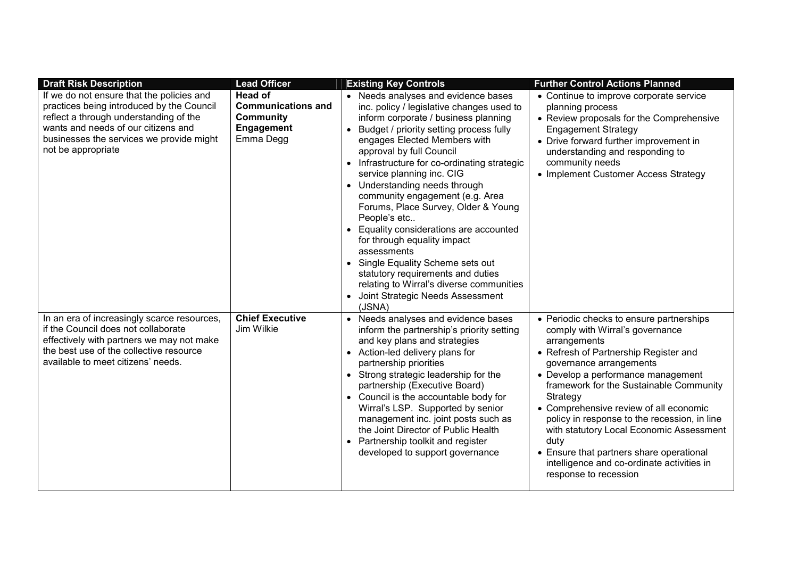| <b>Draft Risk Description</b>                                                                                                                                                                                                             | <b>Lead Officer</b>                                                                        | <b>Existing Key Controls</b>                                                                                                                                                                                                                                                                                                                                                                                                                                                                                                                                                                                                                                                                                                                                    | <b>Further Control Actions Planned</b>                                                                                                                                                                                                                                                                                                                                                                                                                                                                                        |
|-------------------------------------------------------------------------------------------------------------------------------------------------------------------------------------------------------------------------------------------|--------------------------------------------------------------------------------------------|-----------------------------------------------------------------------------------------------------------------------------------------------------------------------------------------------------------------------------------------------------------------------------------------------------------------------------------------------------------------------------------------------------------------------------------------------------------------------------------------------------------------------------------------------------------------------------------------------------------------------------------------------------------------------------------------------------------------------------------------------------------------|-------------------------------------------------------------------------------------------------------------------------------------------------------------------------------------------------------------------------------------------------------------------------------------------------------------------------------------------------------------------------------------------------------------------------------------------------------------------------------------------------------------------------------|
| If we do not ensure that the policies and<br>practices being introduced by the Council<br>reflect a through understanding of the<br>wants and needs of our citizens and<br>businesses the services we provide might<br>not be appropriate | Head of<br><b>Communications and</b><br><b>Community</b><br><b>Engagement</b><br>Emma Degg | • Needs analyses and evidence bases<br>inc. policy / legislative changes used to<br>inform corporate / business planning<br>Budget / priority setting process fully<br>$\bullet$<br>engages Elected Members with<br>approval by full Council<br>Infrastructure for co-ordinating strategic<br>$\bullet$<br>service planning inc. CIG<br>• Understanding needs through<br>community engagement (e.g. Area<br>Forums, Place Survey, Older & Young<br>People's etc<br>Equality considerations are accounted<br>$\bullet$<br>for through equality impact<br>assessments<br>Single Equality Scheme sets out<br>$\bullet$<br>statutory requirements and duties<br>relating to Wirral's diverse communities<br>Joint Strategic Needs Assessment<br>$\bullet$<br>(JSNA) | • Continue to improve corporate service<br>planning process<br>• Review proposals for the Comprehensive<br><b>Engagement Strategy</b><br>• Drive forward further improvement in<br>understanding and responding to<br>community needs<br>• Implement Customer Access Strategy                                                                                                                                                                                                                                                 |
| In an era of increasingly scarce resources,<br>if the Council does not collaborate<br>effectively with partners we may not make<br>the best use of the collective resource<br>available to meet citizens' needs.                          | <b>Chief Executive</b><br>Jim Wilkie                                                       | Needs analyses and evidence bases<br>$\bullet$<br>inform the partnership's priority setting<br>and key plans and strategies<br>• Action-led delivery plans for<br>partnership priorities<br>• Strong strategic leadership for the<br>partnership (Executive Board)<br>• Council is the accountable body for<br>Wirral's LSP. Supported by senior<br>management inc. joint posts such as<br>the Joint Director of Public Health<br>• Partnership toolkit and register<br>developed to support governance                                                                                                                                                                                                                                                         | • Periodic checks to ensure partnerships<br>comply with Wirral's governance<br>arrangements<br>• Refresh of Partnership Register and<br>governance arrangements<br>• Develop a performance management<br>framework for the Sustainable Community<br>Strategy<br>• Comprehensive review of all economic<br>policy in response to the recession, in line<br>with statutory Local Economic Assessment<br>duty<br>• Ensure that partners share operational<br>intelligence and co-ordinate activities in<br>response to recession |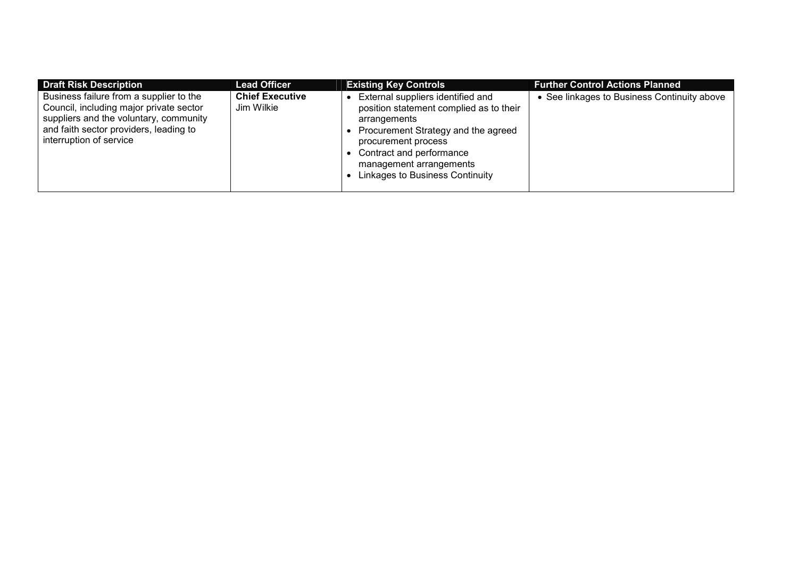| <b>Draft Risk Description</b>                                                                                                                                                                     | <b>Lead Officer</b>                  | <b>Existing Key Controls</b>                                                                                                                                                                                                                         | <b>Further Control Actions Planned</b>      |
|---------------------------------------------------------------------------------------------------------------------------------------------------------------------------------------------------|--------------------------------------|------------------------------------------------------------------------------------------------------------------------------------------------------------------------------------------------------------------------------------------------------|---------------------------------------------|
| Business failure from a supplier to the<br>Council, including major private sector<br>suppliers and the voluntary, community<br>and faith sector providers, leading to<br>interruption of service | <b>Chief Executive</b><br>Jim Wilkie | External suppliers identified and<br>position statement complied as to their<br>arrangements<br>Procurement Strategy and the agreed<br>procurement process<br>Contract and performance<br>management arrangements<br>Linkages to Business Continuity | • See linkages to Business Continuity above |